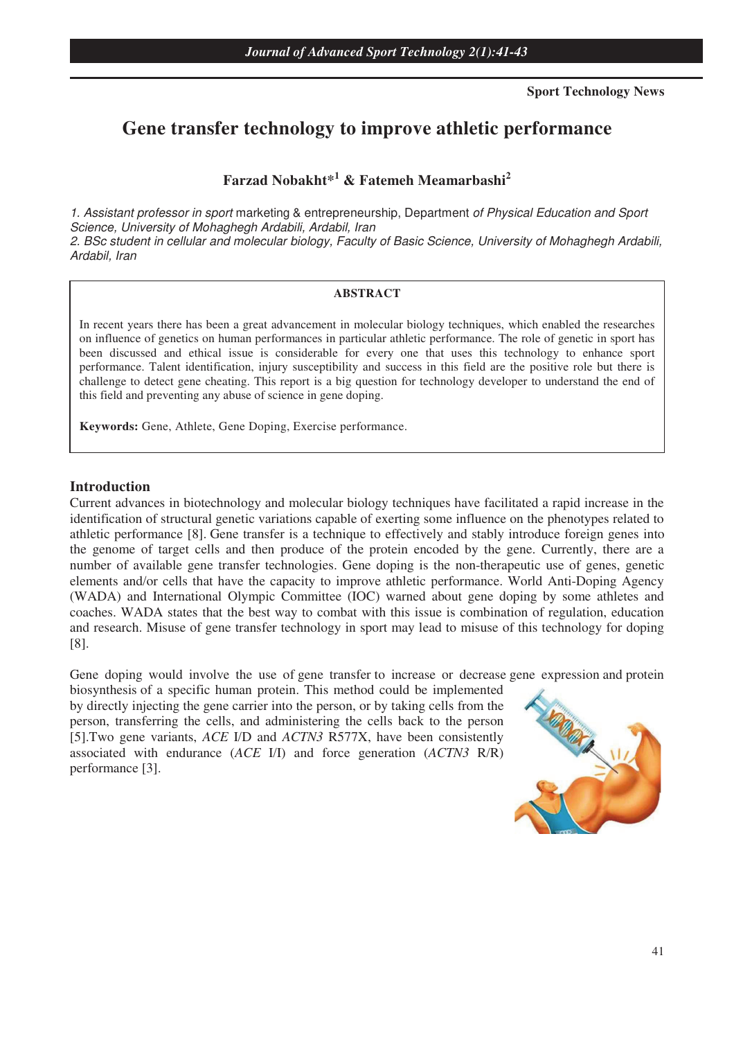**Sport Technology News** 

# **Gene transfer technology to improve athletic performance**

**Farzad Nobakht\*<sup>1</sup> & Fatemeh Meamarbashi<sup>2</sup>**

1. Assistant professor in sport marketing & entrepreneurship, Department of Physical Education and Sport Science, University of Mohaghegh Ardabili, Ardabil, Iran 2. BSc student in cellular and molecular biology, Faculty of Basic Science, University of Mohaghegh Ardabili, Ardabil, Iran

#### **ABSTRACT**

In recent years there has been a great advancement in molecular biology techniques, which enabled the researches on influence of genetics on human performances in particular athletic performance. The role of genetic in sport has been discussed and ethical issue is considerable for every one that uses this technology to enhance sport performance. Talent identification, injury susceptibility and success in this field are the positive role but there is challenge to detect gene cheating. This report is a big question for technology developer to understand the end of this field and preventing any abuse of science in gene doping.

**Keywords:** Gene, Athlete, Gene Doping, Exercise performance.

#### **Introduction**

Current advances in biotechnology and molecular biology techniques have facilitated a rapid increase in the identification of structural genetic variations capable of exerting some influence on the phenotypes related to athletic performance [8]. Gene transfer is a technique to effectively and stably introduce foreign genes into the genome of target cells and then produce of the protein encoded by the gene. Currently, there are a number of available gene transfer technologies. Gene doping is the non-therapeutic use of genes, genetic elements and/or cells that have the capacity to improve athletic performance. World Anti-Doping Agency (WADA) and International Olympic Committee (IOC) warned about gene doping by some athletes and coaches. WADA states that the best way to combat with this issue is combination of regulation, education and research. Misuse of gene transfer technology in sport may lead to misuse of this technology for doping [8].

Gene doping would involve the use of gene transfer to increase or decrease gene expression and protein

biosynthesis of a specific human protein. This method could be implemented by directly injecting the gene carrier into the person, or by taking cells from the person, transferring the cells, and administering the cells back to the person [5].Two gene variants, *ACE* I/D and *ACTN3* R577X, have been consistently associated with endurance (*ACE* I/I) and force generation (*ACTN3* R/R) performance [3].

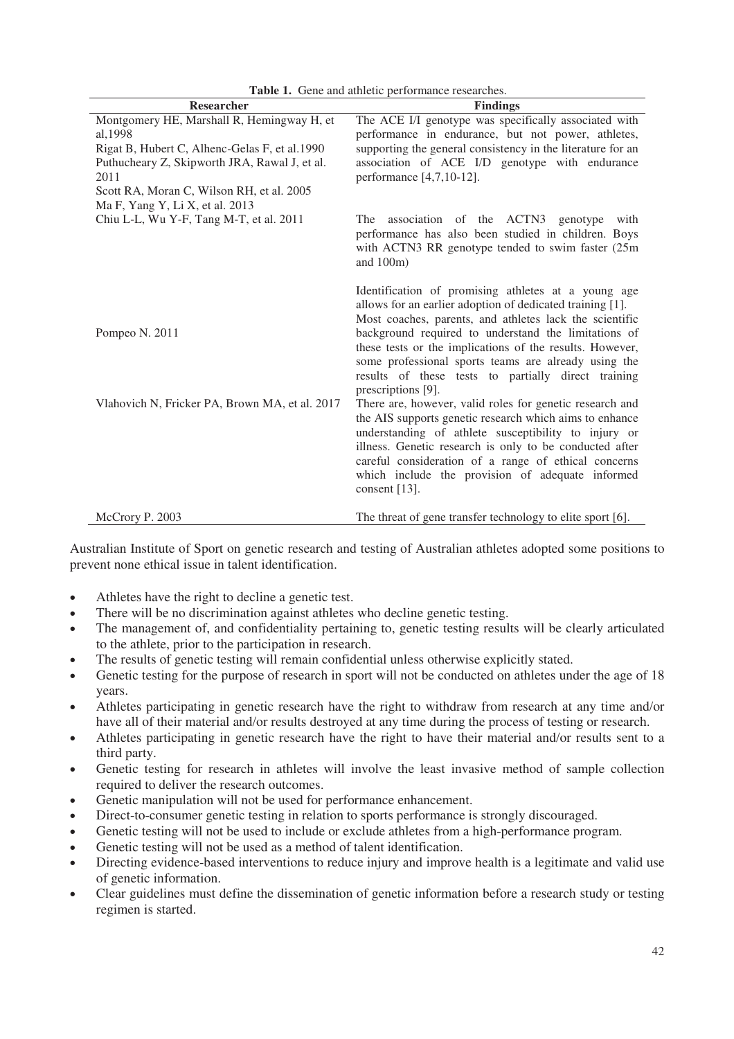| Researcher                                                                                                                                                                                                                                       | <b>Findings</b>                                                                                                                                                                                                                                                                                                                                                                                                                      |
|--------------------------------------------------------------------------------------------------------------------------------------------------------------------------------------------------------------------------------------------------|--------------------------------------------------------------------------------------------------------------------------------------------------------------------------------------------------------------------------------------------------------------------------------------------------------------------------------------------------------------------------------------------------------------------------------------|
| Montgomery HE, Marshall R, Hemingway H, et<br>al, 1998<br>Rigat B, Hubert C, Alhenc-Gelas F, et al.1990<br>Puthucheary Z, Skipworth JRA, Rawal J, et al.<br>2011<br>Scott RA, Moran C, Wilson RH, et al. 2005<br>Ma F, Yang Y, Li X, et al. 2013 | The ACE I/I genotype was specifically associated with<br>performance in endurance, but not power, athletes,<br>supporting the general consistency in the literature for an<br>association of ACE I/D genotype with endurance<br>performance [4,7,10-12].                                                                                                                                                                             |
| Chiu L-L, Wu Y-F, Tang M-T, et al. 2011                                                                                                                                                                                                          | association of the ACTN3 genotype with<br>The<br>performance has also been studied in children. Boys<br>with ACTN3 RR genotype tended to swim faster (25m<br>and $100m$ )                                                                                                                                                                                                                                                            |
| Pompeo N. 2011                                                                                                                                                                                                                                   | Identification of promising athletes at a young age<br>allows for an earlier adoption of dedicated training [1].<br>Most coaches, parents, and athletes lack the scientific<br>background required to understand the limitations of<br>these tests or the implications of the results. However,<br>some professional sports teams are already using the<br>results of these tests to partially direct training<br>prescriptions [9]. |
| Vlahovich N, Fricker PA, Brown MA, et al. 2017                                                                                                                                                                                                   | There are, however, valid roles for genetic research and<br>the AIS supports genetic research which aims to enhance<br>understanding of athlete susceptibility to injury or<br>illness. Genetic research is only to be conducted after<br>careful consideration of a range of ethical concerns<br>which include the provision of adequate informed<br>consent $[13]$ .                                                               |
| McCrory P. 2003                                                                                                                                                                                                                                  | The threat of gene transfer technology to elite sport [6].                                                                                                                                                                                                                                                                                                                                                                           |

**Table 1.** Gene and athletic performance researches.

Australian Institute of Sport on genetic research and testing of Australian athletes adopted some positions to prevent none ethical issue in talent identification.

- Athletes have the right to decline a genetic test.
- There will be no discrimination against athletes who decline genetic testing.
- The management of, and confidentiality pertaining to, genetic testing results will be clearly articulated to the athlete, prior to the participation in research.
- The results of genetic testing will remain confidential unless otherwise explicitly stated.
- Genetic testing for the purpose of research in sport will not be conducted on athletes under the age of 18 years.
- Athletes participating in genetic research have the right to withdraw from research at any time and/or have all of their material and/or results destroyed at any time during the process of testing or research.
- Athletes participating in genetic research have the right to have their material and/or results sent to a third party.
- Genetic testing for research in athletes will involve the least invasive method of sample collection required to deliver the research outcomes.
- Genetic manipulation will not be used for performance enhancement.
- Direct-to-consumer genetic testing in relation to sports performance is strongly discouraged.
- Genetic testing will not be used to include or exclude athletes from a high-performance program.
- Genetic testing will not be used as a method of talent identification.
- Directing evidence-based interventions to reduce injury and improve health is a legitimate and valid use of genetic information.
- Clear guidelines must define the dissemination of genetic information before a research study or testing regimen is started.